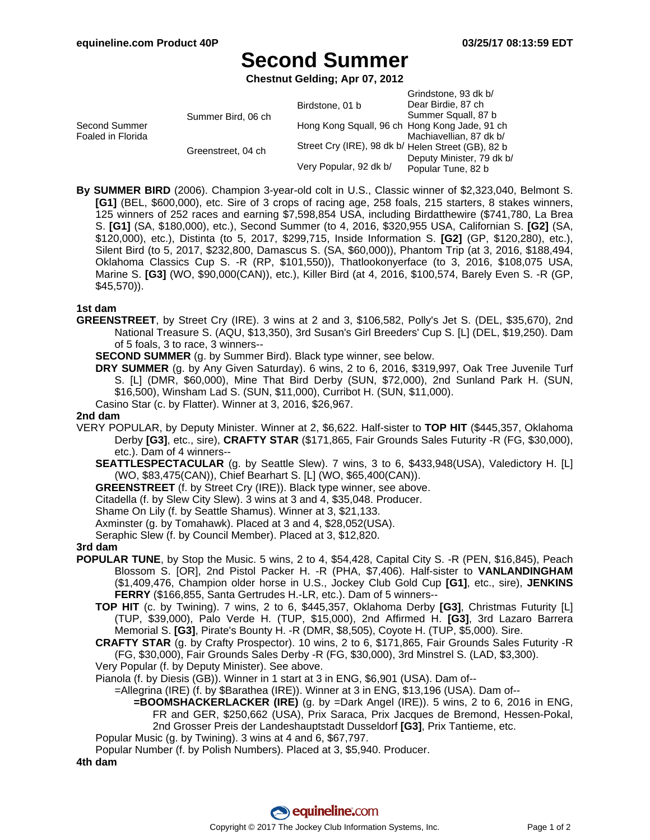# **Second Summer**

**Chestnut Gelding; Apr 07, 2012**

|                                    |                    | Birdstone, 01 b                                    | Grindstone, 93 dk b/<br>Dear Birdie, 87 ch |
|------------------------------------|--------------------|----------------------------------------------------|--------------------------------------------|
| Second Summer<br>Foaled in Florida | Summer Bird, 06 ch |                                                    | Summer Squall, 87 b                        |
|                                    |                    | Hong Kong Squall, 96 ch Hong Kong Jade, 91 ch      | Machiavellian, 87 dk b/                    |
|                                    | Greenstreet, 04 ch | Street Cry (IRE), 98 dk b/ Helen Street (GB), 82 b | Deputy Minister, 79 dk b/                  |
|                                    |                    | Very Popular, 92 dk b/                             | Popular Tune, 82 b                         |

**By SUMMER BIRD** (2006). Champion 3-year-old colt in U.S., Classic winner of \$2,323,040, Belmont S. **[G1]** (BEL, \$600,000), etc. Sire of 3 crops of racing age, 258 foals, 215 starters, 8 stakes winners, 125 winners of 252 races and earning \$7,598,854 USA, including Birdatthewire (\$741,780, La Brea S. **[G1]** (SA, \$180,000), etc.), Second Summer (to 4, 2016, \$320,955 USA, Californian S. **[G2]** (SA, \$120,000), etc.), Distinta (to 5, 2017, \$299,715, Inside Information S. **[G2]** (GP, \$120,280), etc.), Silent Bird (to 5, 2017, \$232,800, Damascus S. (SA, \$60,000)), Phantom Trip (at 3, 2016, \$188,494, Oklahoma Classics Cup S. -R (RP, \$101,550)), Thatlookonyerface (to 3, 2016, \$108,075 USA, Marine S. **[G3]** (WO, \$90,000(CAN)), etc.), Killer Bird (at 4, 2016, \$100,574, Barely Even S. -R (GP, \$45,570)).

### **1st dam**

- **GREENSTREET**, by Street Cry (IRE). 3 wins at 2 and 3, \$106,582, Polly's Jet S. (DEL, \$35,670), 2nd National Treasure S. (AQU, \$13,350), 3rd Susan's Girl Breeders' Cup S. [L] (DEL, \$19,250). Dam of 5 foals, 3 to race, 3 winners--
	- **SECOND SUMMER** (g. by Summer Bird). Black type winner, see below.
	- **DRY SUMMER** (g. by Any Given Saturday). 6 wins, 2 to 6, 2016, \$319,997, Oak Tree Juvenile Turf S. [L] (DMR, \$60,000), Mine That Bird Derby (SUN, \$72,000), 2nd Sunland Park H. (SUN, \$16,500), Winsham Lad S. (SUN, \$11,000), Curribot H. (SUN, \$11,000).
	- Casino Star (c. by Flatter). Winner at 3, 2016, \$26,967.

### **2nd dam**

- VERY POPULAR, by Deputy Minister. Winner at 2, \$6,622. Half-sister to **TOP HIT** (\$445,357, Oklahoma Derby **[G3]**, etc., sire), **CRAFTY STAR** (\$171,865, Fair Grounds Sales Futurity -R (FG, \$30,000), etc.). Dam of 4 winners--
	- **SEATTLESPECTACULAR** (g. by Seattle Slew). 7 wins, 3 to 6, \$433,948(USA), Valedictory H. [L] (WO, \$83,475(CAN)), Chief Bearhart S. [L] (WO, \$65,400(CAN)).
	- **GREENSTREET** (f. by Street Cry (IRE)). Black type winner, see above.
	- Citadella (f. by Slew City Slew). 3 wins at 3 and 4, \$35,048. Producer.
	- Shame On Lily (f. by Seattle Shamus). Winner at 3, \$21,133.
	- Axminster (g. by Tomahawk). Placed at 3 and 4, \$28,052(USA).
	- Seraphic Slew (f. by Council Member). Placed at 3, \$12,820.

#### **3rd dam**

- **POPULAR TUNE**, by Stop the Music. 5 wins, 2 to 4, \$54,428, Capital City S. -R (PEN, \$16,845), Peach Blossom S. [OR], 2nd Pistol Packer H. -R (PHA, \$7,406). Half-sister to **VANLANDINGHAM** (\$1,409,476, Champion older horse in U.S., Jockey Club Gold Cup **[G1]**, etc., sire), **JENKINS FERRY** (\$166,855, Santa Gertrudes H.-LR, etc.). Dam of 5 winners--
	- **TOP HIT** (c. by Twining). 7 wins, 2 to 6, \$445,357, Oklahoma Derby **[G3]**, Christmas Futurity [L] (TUP, \$39,000), Palo Verde H. (TUP, \$15,000), 2nd Affirmed H. **[G3]**, 3rd Lazaro Barrera Memorial S. **[G3]**, Pirate's Bounty H. -R (DMR, \$8,505), Coyote H. (TUP, \$5,000). Sire.
	- **CRAFTY STAR** (g. by Crafty Prospector). 10 wins, 2 to 6, \$171,865, Fair Grounds Sales Futurity -R (FG, \$30,000), Fair Grounds Sales Derby -R (FG, \$30,000), 3rd Minstrel S. (LAD, \$3,300).
	- Very Popular (f. by Deputy Minister). See above.
	- Pianola (f. by Diesis (GB)). Winner in 1 start at 3 in ENG, \$6,901 (USA). Dam of--
		- =Allegrina (IRE) (f. by \$Barathea (IRE)). Winner at 3 in ENG, \$13,196 (USA). Dam of--
			- **=BOOMSHACKERLACKER (IRE)** (g. by =Dark Angel (IRE)). 5 wins, 2 to 6, 2016 in ENG, FR and GER, \$250,662 (USA), Prix Saraca, Prix Jacques de Bremond, Hessen-Pokal, 2nd Grosser Preis der Landeshauptstadt Dusseldorf **[G3]**, Prix Tantieme, etc.
	- Popular Music (g. by Twining). 3 wins at 4 and 6, \$67,797.
	- Popular Number (f. by Polish Numbers). Placed at 3, \$5,940. Producer.

**4th dam**